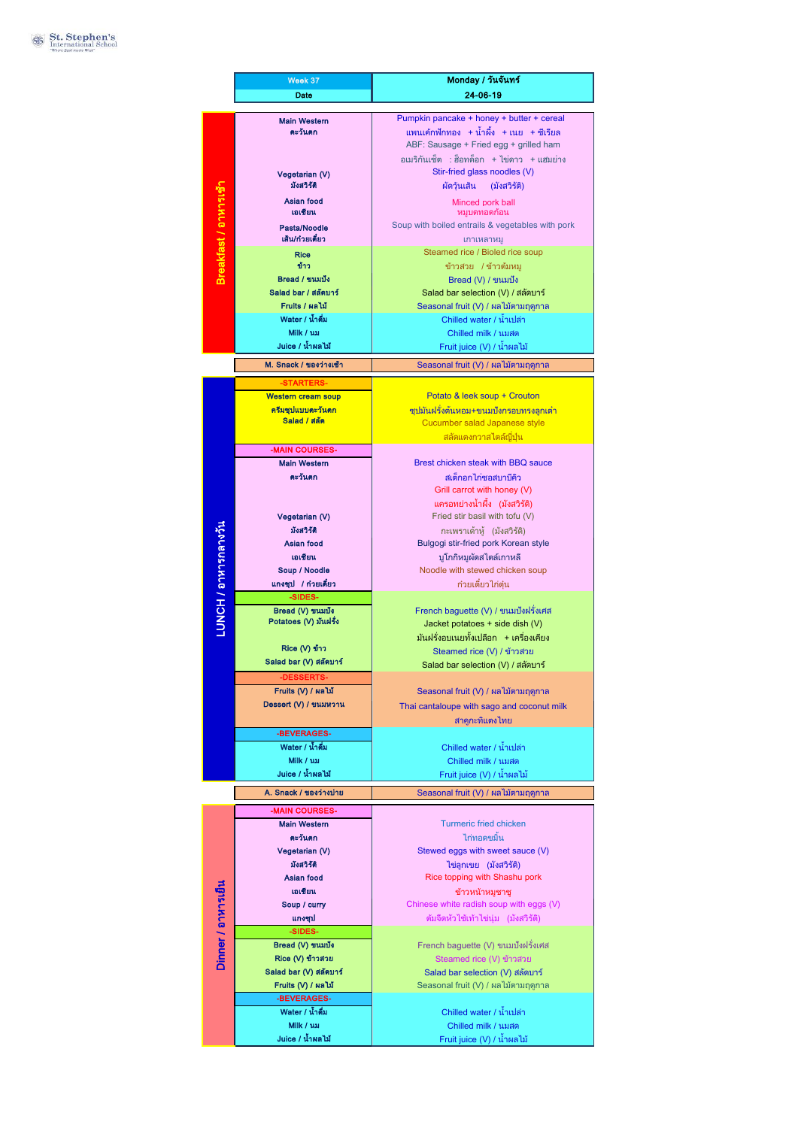|                       | Week 37                           | Monday / วันจันทร์                                              |
|-----------------------|-----------------------------------|-----------------------------------------------------------------|
|                       | Date                              | 24-06-19                                                        |
|                       |                                   |                                                                 |
|                       | <b>Main Western</b>               | Pumpkin pancake + honey + butter + cereal                       |
|                       | ตะวันตก                           | แพนเค้กฟักทอง + น้ำผึ้ง + เนย  + ซีเรียล                        |
|                       |                                   | ABF: Sausage + Fried egg + grilled ham                          |
| Breakfast / อาหารเช้า |                                   | อเมริกันเซ็ต : ฮ็อทด็อก + ไข่ดาว + แฮมย่าง                      |
|                       | Vegetarian (V)<br>มังสวิรัติ      | Stir-fried glass noodles (V)                                    |
|                       |                                   | ผัดวุ้นเส้น (มังสวิรัติ)                                        |
|                       | <b>Asian food</b><br>เอเชียน      | Minced pork ball<br>หมูบดทอดก้อน                                |
|                       | Pasta/Noodle                      | Soup with boiled entrails & vegetables with pork                |
|                       | เส็น/ก๋วยเตี๋ยว                   | เกาเหลาหม                                                       |
|                       | <b>Rice</b>                       | Steamed rice / Bioled rice soup                                 |
|                       | ข้าว                              | ข้าวสวย /ข้าวต้มหมู                                             |
|                       | Bread / ขนมปัง                    | Bread (V) / ขนมปัง                                              |
|                       | Salad bar / สลัดบาร์              | Salad bar selection (V) / สลัดบาร์                              |
|                       | Fruits / ผลไม้                    | Seasonal fruit (V) / ผลไม้ตามฤดูกาล                             |
|                       | Water / น้ำดื่ม                   | Chilled water / น้ำเปล่า                                        |
|                       | Milk / usi                        | Chilled milk / นมสด                                             |
|                       | Juice / น้ำผลไม้                  | Fruit juice (V) / น้ำผลไม้                                      |
|                       | M. Snack / ของว่างเช้า            | Seasonal fruit (V) / ผลไม้ตามฤดูกาล                             |
|                       | -STARTERS-                        |                                                                 |
|                       | <b>Western cream soup</b>         | Potato & leek soup + Crouton                                    |
|                       | ครีมซุปแบบตะวันตก                 | ี่ซูปมันฝรั่งต้นหอม+ขนมปังกรอบทรงลูกเต๋า                        |
|                       | Salad / สลัด                      | Cucumber salad Japanese style                                   |
|                       |                                   | <mark>สลัดแตงกวาสไตล์ญี่ปุ่น</mark>                             |
|                       | -MAIN COURSES-                    |                                                                 |
|                       | <b>Main Western</b>               | Brest chicken steak with BBQ sauce                              |
|                       | ตะวันตก                           | สเต็กอกไก่ซอสบาบีคิว                                            |
|                       |                                   | Grill carrot with honey (V)                                     |
|                       | Vegetarian (V)                    | แครอทย่างน้ำผึ้ง (มังสวิรัติ)<br>Fried stir basil with tofu (V) |
|                       | มังสวิรัติ                        | กะเพราเต้าห้ (มังสวิรัติ)                                       |
|                       | Asian food                        | Bulgogi stir-fried pork Korean style                            |
|                       | เอเชียน                           | บูโกกิหมูผัดสไตล์เกาหลี                                         |
|                       | Soup / Noodle                     | Noodle with stewed chicken soup                                 |
|                       | แกงซุป / ก๋วยเตี๋ยว               | ก๋วยเตี๋ยวไก่ตุ๋น                                               |
| LUNCH / อาหารกลางวัน  | -SIDES-                           |                                                                 |
|                       | Bread (V) ขนมปัง                  | French baguette (V) / ขนมปังฝรั่งเศส                            |
|                       | Potatoes (V) มันฝรั่ง             | Jacket potatoes + side dish (V)                                 |
|                       | Rice (V) ข้าว                     | มันฝรั่งอบเนยทั้งเปลือก +เครื่องเคียง                           |
|                       | Salad bar (V) สลัดบาร์            | Steamed rice (V) / ข้าวสวย                                      |
|                       | -DESSERTS-                        | Salad bar selection (V) / สลัดบาร์                              |
|                       | Fruits (V) / ผลไม้                | Seasonal fruit (V) / ผลไม้ตามฤดูกาล                             |
|                       | Dessert (V) / ขนมหวาน             | Thai cantaloupe with sago and coconut milk                      |
|                       |                                   | สาคูกะทิแตงไทย                                                  |
|                       | -BEVERAGES-                       |                                                                 |
|                       | Water / น้ำดื่ม                   | Chilled water / น้ำเปล่า                                        |
|                       | Milk / นม                         | Chilled milk / นมสด                                             |
|                       | Juice / น้ำผลไม้                  | Fruit juice (V) / น้ำผลไม้                                      |
|                       | A. Snack / ของว่างบ่าย            | Seasonal fruit (V) / ผลไม้ตามฤดูกาล                             |
|                       | -MAIN COURSES-                    |                                                                 |
|                       | <b>Main Western</b>               | <b>Turmeric fried chicken</b>                                   |
| Dinner / อาหารเย็น    | ตะวันตก                           | ไก่ทอดขมิ้น                                                     |
|                       | Vegetarian (V)                    | Stewed eggs with sweet sauce (V)                                |
|                       | มังสวิรัติ                        | ไข่ลูกเขย (มังสวิรัติ)                                          |
|                       | Asian food                        | Rice topping with Shashu pork                                   |
|                       | เอเชียน                           | ข้าวหน้าหมูชาชู                                                 |
|                       | Soup / curry                      | Chinese white radish soup with eggs (V)                         |
|                       | แกงซุป                            | ต้มจืดหัวไช้เท้าไข่นุ่ม (มังสวิรัติ)                            |
|                       | -SIDES-                           |                                                                 |
|                       | Bread (V) ขนมปัง                  | French baguette (V) ขนมปังฝรั่งเศส                              |
|                       | Rice (V) ข้าวสวย                  | Steamed rice (V) ข้าวสวย                                        |
|                       | Salad bar (V) สลัดบาร์            | Salad bar selection (V) สลัดบาร์                                |
|                       | Fruits (V) / ผลไม้<br>-BEVERAGES- | Seasonal fruit (V) / ผลไม้ตามฤดูกาล                             |
|                       | Water / น้ำดื่ม                   | Chilled water / น้ำเปล่า                                        |
|                       | Milk / นม                         | Chilled milk / นมสด                                             |
|                       | Juice / น้ำผลไม้                  | Fruit juice (V) / น้ำผลไม้                                      |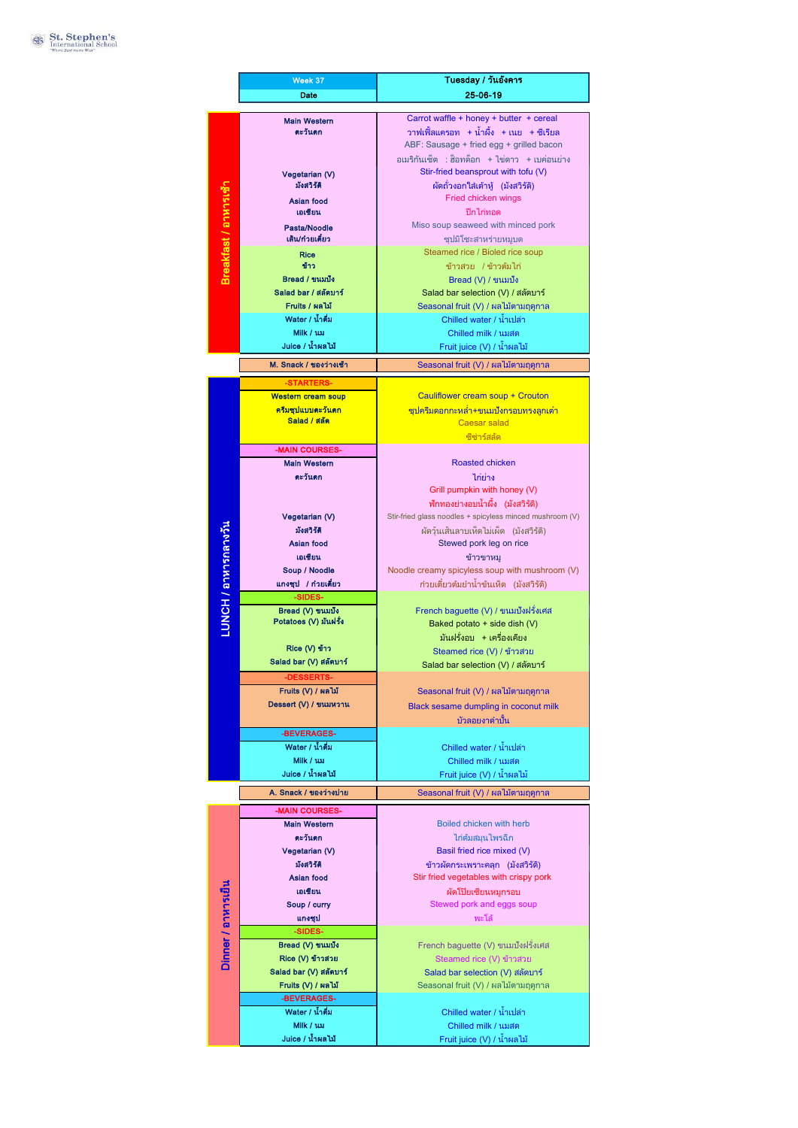|                       | Week 37                                   | Tuesday / วันอังคาร                                                  |
|-----------------------|-------------------------------------------|----------------------------------------------------------------------|
|                       | Date                                      | 25-06-19                                                             |
|                       |                                           |                                                                      |
|                       | <b>Main Western</b>                       | Carrot waffle + honey + butter + cereal                              |
|                       | ตะวันตก                                   | วาฟเฟิ้ลแครอท + น้ำผึ้ง + เนย  + ซีเรียล                             |
|                       |                                           | ABF: Sausage + fried egg + grilled bacon                             |
|                       |                                           | อเมริกันเซ็ต : ฮ็อทด็อก + ไข่ดาว  + เบค่อนย่าง                       |
|                       | Vegetarian (V)                            | Stir-fried beansprout with tofu (V)                                  |
|                       | มังสวิรัติ                                | ผัดถั่วงอกใส่เต้าหู้ (มังสวิรัติ)                                    |
|                       | Asian food                                | Fried chicken wings                                                  |
|                       | เอเชียน                                   | ปีกไก่ทอด                                                            |
|                       | Pasta/Noodle                              | Miso soup seaweed with minced pork                                   |
|                       | เส้น/ก๋วยเตี๋ยว                           | ซุปมิโซะสาหร่ายหมูบด                                                 |
| Breakfast / อาหารเช้า | Rice                                      | Steamed rice / Bioled rice soup                                      |
|                       | ข้าว                                      | ข้าวสวย /ข้าวต้มไก่                                                  |
|                       | Bread / ขนมปัง                            | Bread (V) / ขนมปัง                                                   |
|                       | Salad bar / สลัดบาร์                      | Salad bar selection (V) / สลัดบาร์                                   |
|                       | Fruits / ผลไม้                            | Seasonal fruit (V) / ผลไม้ตามฤดูกาล                                  |
|                       | Water / น้ำดื่ม                           | Chilled water / น้ำเปล่า                                             |
|                       | Milk / ux<br>Juice / น้ำผลไม้             | Chilled milk / นมสด                                                  |
|                       |                                           | Fruit juice (V) / น้ำผลไม้                                           |
|                       | M. Snack / ของว่างเช้า                    | Seasonal fruit (V) / ผลไม้ตามฤดูกาล                                  |
|                       | -STARTERS-                                |                                                                      |
|                       | <b>Western cream soup</b>                 | Cauliflower cream soup + Crouton                                     |
|                       | ครีมซุปแบบตะวันตก                         | <u>ซปครีมดอกกะหล่ำ+ขนมปังกรอบทรงลูกเต๋า</u>                          |
|                       | Salad / สลัด                              | <b>Caesar salad</b>                                                  |
|                       |                                           | ชีซ่าร์สลัด                                                          |
|                       | -MAIN COURSES-                            |                                                                      |
|                       | <b>Main Western</b>                       | Roasted chicken                                                      |
|                       | ตะวันตก                                   | ไก่ย่าง                                                              |
|                       |                                           | Grill pumpkin with honey (V)                                         |
|                       |                                           | ฟักทองย่างอบน้ำผึ้ง (มังสวิรัติ)                                     |
|                       | Vegetarian (V)                            | Stir-fried glass noodles + spicyless minced mushroom (V)             |
|                       | มังสวิรัติ                                | ผัดวุ้นเส้นลาบเห็ดไม่เผ็ด (มังสวิรัติ)                               |
|                       | Asian food                                | Stewed pork leg on rice                                              |
|                       | เอเชียน                                   | ข้าวขาหม                                                             |
|                       | Soup / Noodle                             | Noodle creamy spicyless soup with mushroom (V)                       |
|                       | แกงชุป / ก๋วยเตี๋ยว                       | ก๋วยเตี๋ยวต้มยำน้ำข้นเห็ด (มังสวิรัติ)                               |
| LUNCH / อาหารกลางวัน  | -SIDES-                                   |                                                                      |
|                       | Bread (V) ขนมปัง<br>Potatoes (V) มันฝรั่ง | French baguette (V) / ขนมปังฝรั่งเศส<br>Baked potato + side dish (V) |
|                       |                                           | มันฝรั่งอบ +เครื่องเคียง                                             |
|                       | Rice (V) ข้าว                             | Steamed rice (V) / ข้าวสวย                                           |
|                       | Salad bar (V) สลัดบาร์                    | Salad bar selection (V) / สลัดบาร์                                   |
|                       | -DESSERTS-                                |                                                                      |
|                       | Fruits (V) / ผลไม้                        | Seasonal fruit (V) / ผลไม้ตามฤดูกาล                                  |
|                       | Dessert (V) / ขนมหวาน                     | Black sesame dumpling in coconut milk                                |
|                       |                                           | บัวลอยงาดำปั้น                                                       |
|                       | -BEVERAGES-                               |                                                                      |
|                       | Water / น้ำดื่ม                           | Chilled water / น้ำเปล่า                                             |
|                       | Milk / นม                                 | Chilled milk / นมสด                                                  |
|                       | Juice / น้ำผลไม้                          | Fruit juice (V) / น้ำผลไม้                                           |
|                       |                                           |                                                                      |
|                       | A. Snack / ของว่างบ่าย                    | Seasonal fruit (V) / ผลไม้ตามฤดูกาล                                  |
|                       | -MAIN COURSES-                            |                                                                      |
|                       | <b>Main Western</b>                       | Boiled chicken with herb                                             |
|                       | ตะวันตก                                   | ไก่ต้มสมนไพรฉีก                                                      |
|                       | Vegetarian (V)                            | Basil fried rice mixed (V)                                           |
| Dinner / อาหารเย็น    | มังสวิรัติ                                | ข้าวผัดกระเพราะคลุก (มังสวิรัติ)                                     |
|                       | Asian food                                | Stir fried vegetables with crispy pork                               |
|                       | เอเชียน                                   | ผัดโป๊ยเซียนหมูกรอบ                                                  |
|                       | Soup / curry                              | Stewed pork and eggs soup                                            |
|                       | แกงชุป                                    | พะโล้                                                                |
|                       | -SIDES-                                   |                                                                      |
|                       | Bread (V) ขนมปัง                          | French baguette (V) ขนมปังฝรั่งเศส                                   |
|                       | Rice (V) ข้าวสวย                          | Steamed rice (V) ข้าวสวย                                             |
|                       | Salad bar (V) สลัดบาร์                    | Salad bar selection (V) สลัดบาร์                                     |
|                       | Fruits (V) / ผลไม้                        | Seasonal fruit (V) / ผลไม้ตามฤดูกาล                                  |
|                       | -BEVERAGES-<br>Water / น้ำดื่ม            | Chilled water / น้ำเปล่า                                             |
|                       | Milk / นม                                 | Chilled milk / นมสด                                                  |
|                       |                                           |                                                                      |
|                       | Juice / น้ำผลไม้                          | Fruit juice (V) / น้ำผลไม้                                           |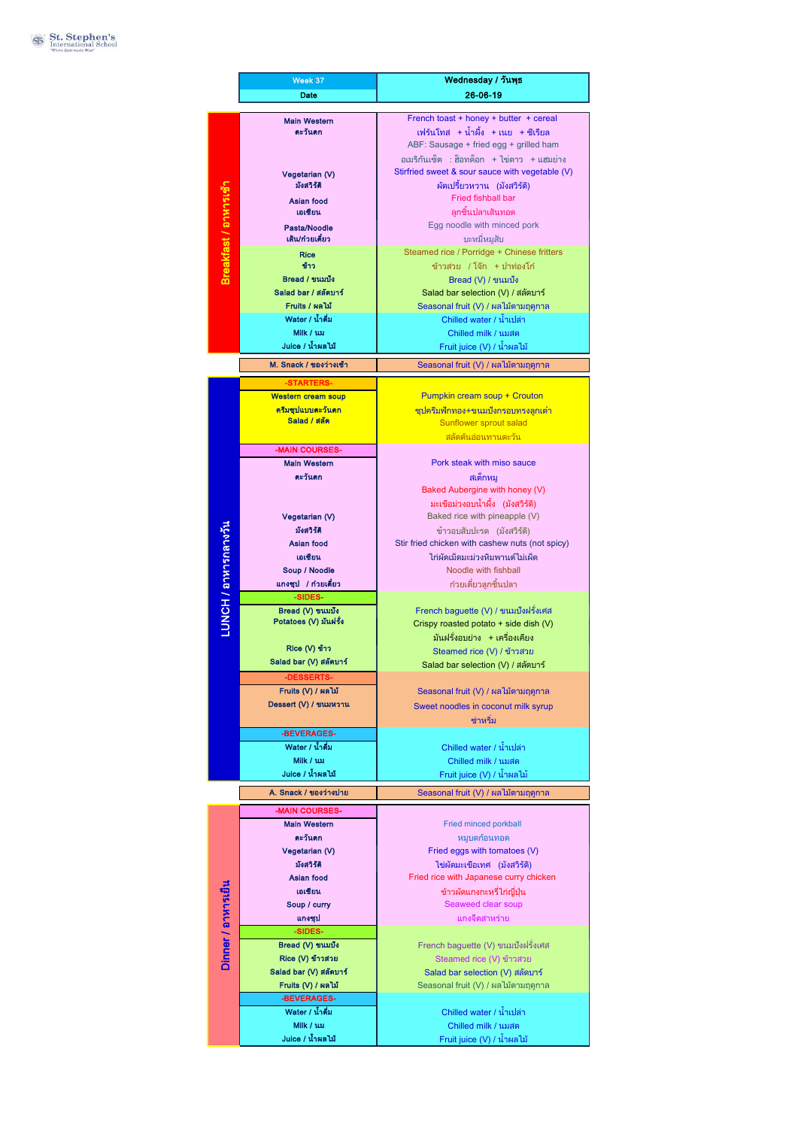|                       | Week 37                                   | Wednesday / วันพุธ                                                                            |
|-----------------------|-------------------------------------------|-----------------------------------------------------------------------------------------------|
|                       | Date                                      | 26-06-19                                                                                      |
|                       |                                           |                                                                                               |
|                       | <b>Main Western</b>                       | French toast + honey + butter + cereal                                                        |
|                       | ตะวันตก                                   | เฟร้นโทส +น้ำผึ้ง +เนย +ชีเรียล                                                               |
|                       |                                           | ABF: Sausage + fried egg + grilled ham                                                        |
|                       |                                           | อเมริกันเซ็ต : ฮ็อทด็อก + ไข่ดาว + แฮมย่าง<br>Stirfried sweet & sour sauce with vegetable (V) |
|                       | Vegetarian (V)<br>มังสวิรัติ              | ผัดเปรี้ยวหวาน (มังสวิรัติ)                                                                   |
|                       | Asian food                                | <b>Fried fishball bar</b>                                                                     |
|                       | เอเซียน                                   | ลกชิ้นปลาเส้นทอด                                                                              |
|                       | Pasta/Noodle                              | Egg noodle with minced pork                                                                   |
|                       | เส้น/ก๋วยเตี๋ยว                           | บะหมี่หมูสับ                                                                                  |
| Breakfast / อาหารเช้า | <b>Rice</b>                               | Steamed rice / Porridge + Chinese fritters                                                    |
|                       | ข้าว                                      | ข้าวสวย /โจ๊ก +ปาท่องโก๋                                                                      |
|                       | Bread / ขนมปัง                            | Bread (V) / ขนมปัง                                                                            |
|                       | Salad bar / สลัดบาร์                      | Salad bar selection (V) / สลัดบาร์                                                            |
|                       | Fruits / ผลไม้                            | Seasonal fruit (V) / ผลไม้ตามฤดูกาล                                                           |
|                       | Water / น้ำดื่ม                           | Chilled water / น้ำเปล่า                                                                      |
|                       | Milk / uxi<br>Juice / น้ำผลไม้            | Chilled milk / นมสด                                                                           |
|                       |                                           | Fruit juice (V) / น้ำผลไม้                                                                    |
|                       | M. Snack / ของว่างเช้า                    | Seasonal fruit (V) / ผลไม้ตามฤดูกาล                                                           |
|                       | -STARTERS-                                |                                                                                               |
|                       | <b>Western cream soup</b>                 | Pumpkin cream soup + Crouton                                                                  |
|                       | ครีมชุปแบบตะวันตก                         | ี่ซุปครีมฟักทอง+ขนมปังกรอบทรงลูกเต๋า                                                          |
|                       | Salad / สลัด                              | Sunflower sprout salad                                                                        |
|                       | -MAIN COURSES-                            | ีสลัดต้นอ่อนทานตะวัน                                                                          |
|                       | <b>Main Western</b>                       | Pork steak with miso sauce                                                                    |
|                       | ตะวันตก                                   | สเต็กหม                                                                                       |
|                       |                                           | Baked Aubergine with honey (V)                                                                |
|                       |                                           | มะเขือม่วงอบน้ำผึ้ง (มังสวิรัติ)                                                              |
|                       | Vegetarian (V)                            | Baked rice with pineapple (V)                                                                 |
|                       | มังสวิรัติ                                | ข้าวอบสับปะรด (มังสวิรัติ)                                                                    |
|                       | Asian food                                | Stir fried chicken with cashew nuts (not spicy)                                               |
|                       | เอเชียน                                   | ไก่ผัดเม็ดมะม่วงหิมพานต์ไม่เผ็ด                                                               |
|                       | Soup / Noodle                             | Noodle with fishball                                                                          |
| LUNCH / อาหารกลางวัน  | แกงชุป / ก๋วยเตี๋ยว                       | ก๋วยเตี๋ยวลูกชิ้นปลา                                                                          |
|                       | -SIDES-                                   |                                                                                               |
|                       | Bread (V) ขนมปัง<br>Potatoes (V) มันฝรั่ง | French baguette (V) / ขนมปังฝรั่งเศส                                                          |
|                       |                                           | Crispy roasted potato + side dish (V)<br>มันฝรั่งอบย่าง +เครื่องเคียง                         |
|                       | Rice (V) ข้าว                             | Steamed rice (V) / ข้าวสวย                                                                    |
|                       | Salad bar (V) สลัดบาร์                    | Salad bar selection (V) / สลัดบาร์                                                            |
|                       | -DESSERTS-                                |                                                                                               |
|                       | Fruits (V) / ผลไม้                        | Seasonal fruit (V) / ผลไม้ตามฤดูกาล                                                           |
|                       | Dessert (V) / ขนมหวาน                     | Sweet noodles in coconut milk syrup                                                           |
|                       |                                           | ช่าหริ่ม                                                                                      |
|                       | -BEVERAGES-                               |                                                                                               |
|                       | Water / น้ำดื่ม                           | Chilled water / น้ำเปล่า                                                                      |
|                       | Milk / นม                                 | Chilled milk / นมสด                                                                           |
|                       | Juice / น้ำผลไม้                          | Fruit juice (V) / น้ำผลไม้                                                                    |
|                       | A. Snack / ของว่างบ่าย                    | Seasonal fruit (V) / ผลไม้ตามฤดูกาล                                                           |
|                       | -MAIN COURSES-                            |                                                                                               |
|                       | <b>Main Western</b>                       | Fried minced porkball                                                                         |
| Dinner / อาหารเย็น    | ตะวันตก                                   | หมบดก้อนทอด                                                                                   |
|                       | Vegetarian (V)                            | Fried eggs with tomatoes (V)                                                                  |
|                       | มังสวิรัติ                                | ไข่ผัดมะเขือเทศ (มังสวิรัติ)                                                                  |
|                       | Asian food                                | Fried rice with Japanese curry chicken                                                        |
|                       | เอเชียน                                   | ข้าวผัดแกงกะหรี่ไก่ญี่ป่น                                                                     |
|                       | Soup / curry                              | Seaweed clear soup                                                                            |
|                       | แกงชุป<br>-SIDES-                         | แกงจืดสาหร่าย                                                                                 |
|                       | Bread (V) ขนมปัง                          | French baguette (V) ขนมปังฝรั่งเศส                                                            |
|                       | Rice (V) ข้าวสวย                          | Steamed rice (V) ข้าวสวย                                                                      |
|                       | Salad bar (V) สลัดบาร์                    | Salad bar selection (V) สลัดบาร์                                                              |
|                       | Fruits (V) / ผลไม้                        | Seasonal fruit (V) / ผลไม้ตามฤดูกาล                                                           |
|                       | -BEVERAGES-                               |                                                                                               |
|                       | Water / น้ำดื่ม                           | Chilled water / น้ำเปล่า                                                                      |
|                       | Milk / ux                                 | Chilled milk / นมสด                                                                           |
|                       | Juice / น้ำผลไม้                          | Fruit juice (V) / น้ำผลไม้                                                                    |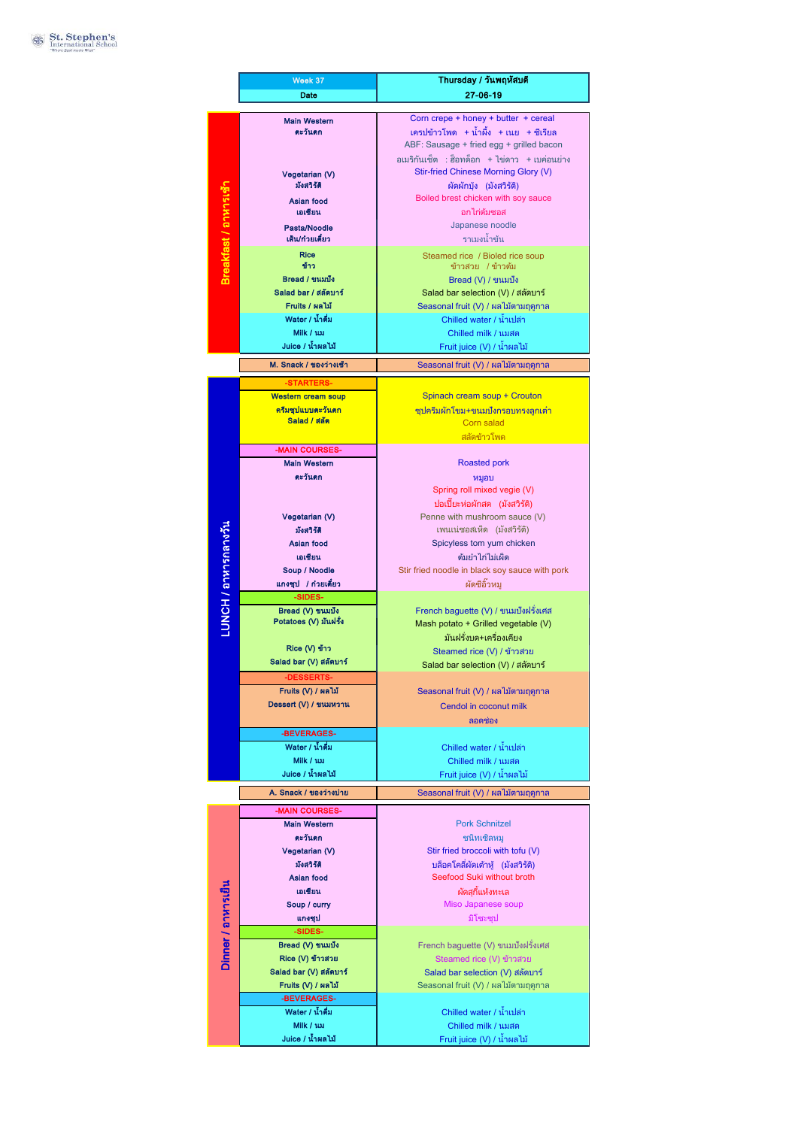|                       | Week 37                                   | Thursday / วันพฤหัสบดี                                                             |
|-----------------------|-------------------------------------------|------------------------------------------------------------------------------------|
|                       | Date                                      | 27-06-19                                                                           |
|                       |                                           |                                                                                    |
|                       | <b>Main Western</b>                       | Corn crepe + honey + butter + cereal                                               |
|                       | ตะวันตก                                   | เครปข้าวโพด + น้ำผึ้ง + เนย  + ซีเรียล<br>ABF: Sausage + fried egg + grilled bacon |
|                       |                                           | อเมริกันเซ็ต : ฮ็อทด็อก + ไข่ดาว + เบค่อนย่าง                                      |
|                       |                                           | Stir-fried Chinese Morning Glory (V)                                               |
|                       | Vegetarian (V)<br>มังสวิรัติ              | ผัดผักบุ้ง (มังสวิรัติ)                                                            |
|                       | Asian food                                | Boiled brest chicken with soy sauce                                                |
|                       | เอเชียน                                   | อกไก่ต้มฑอส                                                                        |
|                       | Pasta/Noodle                              | Japanese noodle                                                                    |
| Breakfast / อาหารเช้า | เส้น/ก๋วยเตี๋ยว                           | ราเมงน้ำข้น                                                                        |
|                       | Rice                                      | Steamed rice / Bioled rice soup                                                    |
|                       | ข้าว                                      | ข้าวสวย /ข้าวต้ม                                                                   |
|                       | Bread / ขนมปัง                            | Bread (V) / ขนมปัง                                                                 |
|                       | Salad bar / สลัดบาร์                      | Salad bar selection (V) / สลัดบาร์                                                 |
|                       | Fruits / ผลไม้<br>Water / น้ำดื่ม         | Seasonal fruit (V) / ผลไม้ตามฤดูกาล                                                |
|                       | Milk / uxi                                | Chilled water / น้ำเปล่า<br>Chilled milk / นมสด                                    |
|                       | Juice / น้ำผลไม้                          | Fruit juice (V) / น้ำผลไม้                                                         |
|                       |                                           |                                                                                    |
|                       | M. Snack / ของว่างเช้า                    | Seasonal fruit (V) / ผลไม้ตามฤดูกาล                                                |
|                       | STARTERS-                                 |                                                                                    |
|                       | <b>Western cream soup</b>                 | Spinach cream soup + Crouton                                                       |
|                       | ุครีมซุปแบบตะวันตก                        | ชุปครีมผักโขม+ขนมปังกรอบทรงลูกเต๋า                                                 |
|                       | Salad / สลัด                              | Corn salad                                                                         |
|                       | -MAIN COURSES-                            | สลัดข้าวโพด                                                                        |
|                       | <b>Main Western</b>                       | <b>Roasted pork</b>                                                                |
|                       | ตะวันตก                                   |                                                                                    |
|                       |                                           | หมูอบ<br>Spring roll mixed vegie (V)                                               |
|                       |                                           | ปอเปี๊ยะห่อผักสด (มังสวิรัติ)                                                      |
|                       | Vegetarian (V)                            | Penne with mushroom sauce (V)                                                      |
|                       | มังสวิรัติ                                | เพนเน่ซอสเห็ด (มังสวิรัติ)                                                         |
|                       | Asian food                                | Spicyless tom yum chicken                                                          |
|                       | เอเชียน                                   | ต้มยำไก่ไม่เผ็ด                                                                    |
|                       | Soup / Noodle                             | Stir fried noodle in black soy sauce with pork                                     |
|                       | แกงชุป / ก๋วยเตี๋ยว                       | ผัดซีอิ๊วหม                                                                        |
| LUNCH / อาหารกลางวัน  | -SIDES-                                   |                                                                                    |
|                       | Bread (V) ขนมปัง<br>Potatoes (V) มันฝรั่ง | French baguette (V) / ขนมปังฝรั่งเศส<br>Mash potato + Grilled vegetable (V)        |
|                       |                                           | มันฝรั่งบด+เครื่องเคียง                                                            |
|                       | Rice (V) ข้าว                             | Steamed rice (V) / ข้าวสวย                                                         |
|                       | Salad bar (V) สลัดบาร์                    | Salad bar selection (V) / สลัดบาร์                                                 |
|                       | -DESSERTS-                                |                                                                                    |
|                       | Fruits (V) / ผลไม้                        | Seasonal fruit (V) / ผลไม้ตามฤดูกาล                                                |
|                       | Dessert (V) / ขนมหวาน                     | Cendol in coconut milk                                                             |
|                       |                                           | ิลอดช่อง                                                                           |
|                       | -BEVERAGES-                               |                                                                                    |
|                       | Water / น้ำดื่ม                           | Chilled water / น้ำเปล่า                                                           |
|                       | Milk / นม                                 | Chilled milk / นมสด                                                                |
|                       | Juice / น้ำผลไม้                          | Fruit juice (V) / น้ำผลไม้                                                         |
|                       | A. Snack / ของว่างบ่าย                    | Seasonal fruit (V) / ผลไม้ตามฤดูกาล                                                |
|                       | -MAIN COURSES-                            |                                                                                    |
|                       | <b>Main Western</b>                       | <b>Pork Schnitzel</b>                                                              |
|                       | ตะวันตก                                   | ชนิทเซิลหม                                                                         |
|                       | Vegetarian (V)                            | Stir fried broccoli with tofu (V)                                                  |
| Dinner / อาหารเย็น    | มังสวิรัติ                                | บล็อคโคลี่ผัดเต้าหู้ (มังสวิรัติ)                                                  |
|                       | Asian food                                | Seefood Suki without broth                                                         |
|                       | เอเชียน                                   | ผัดสกี้แห้งทะเล                                                                    |
|                       | Soup / curry                              | Miso Japanese soup                                                                 |
|                       | แกงชุป<br>-SIDES-                         | มิโซะซป                                                                            |
|                       | Bread (V) ขนมปัง                          | French baguette (V) ขนมปังฝรั่งเศส                                                 |
|                       | Rice (V) ข้าวสวย                          | Steamed rice (V) ข้าวสวย                                                           |
|                       | Salad bar (V) สลัดบาร์                    | Salad bar selection (V) สลัดบาร์                                                   |
|                       | Fruits (V) / ผลไม้                        | Seasonal fruit (V) / ผลไม้ตามฤดูกาล                                                |
|                       | -BEVERAGES-                               |                                                                                    |
|                       | Water / น้ำดื่ม                           | Chilled water / น้ำเปล่า                                                           |
|                       | Milk / นม                                 | Chilled milk / นมสด                                                                |
|                       | Juice / น้ำผลไม้                          | Fruit juice (V) / น้ำผลไม้                                                         |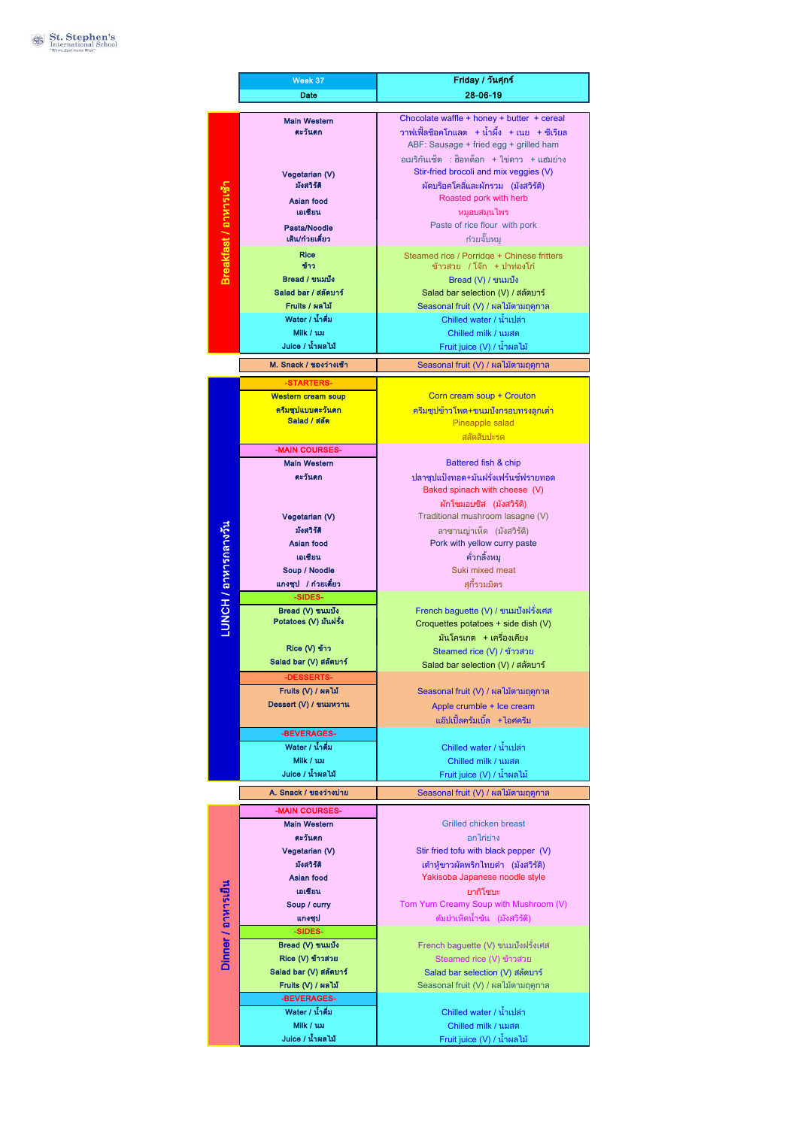|                       | Week 37                                 | Friday / วันศุกร์                                                     |
|-----------------------|-----------------------------------------|-----------------------------------------------------------------------|
|                       | Date                                    | 28-06-19                                                              |
|                       |                                         | Chocolate waffle + honey + butter + cereal                            |
|                       | <b>Main Western</b><br>ตะวันตก          | วาฟเฟิ้ลช็อคโกแลต +น้ำผึ้ง +เนย +ชีเรียล                              |
|                       |                                         | ABF: Sausage + fried egg + grilled ham                                |
|                       |                                         | อเมริกันเซ็ต :ส็อทด็อก +ไข่ดาว +แฮมย่าง                               |
|                       | Vegetarian (V)                          | Stir-fried brocoli and mix veggies (V)                                |
|                       | มังสวิรัติ                              | ผัดบร็อคโคลี่และผักรวม (มังสวิรัติ)                                   |
|                       | Asian food                              | Roasted pork with herb                                                |
|                       | เอเซียน                                 | หมูอบสมุนไพร<br>Paste of rice flour with pork                         |
|                       | Pasta/Noodle<br>เส้น/ก๋วยเตี๋ยว         | ก๋วยจั๊บหม                                                            |
| Breakfast / อาหารเช้า | <b>Rice</b>                             | Steamed rice / Porridge + Chinese fritters                            |
|                       | ข้าว                                    | ข้าวสวย /โจ๊ก +ปาท่องโก๋                                              |
|                       | Bread / ขนมปัง                          | Bread (V) / ขนมปัง                                                    |
|                       | Salad bar / สลัดบาร์                    | Salad bar selection (V) / สลัดบาร์                                    |
|                       | Fruits / ผลไม้<br>Water / น้ำดื่ม       | Seasonal fruit (V) / ผลไม้ตามฤดูกาล<br>Chilled water / น้ำเปล่า       |
|                       | Milk / uxi                              | Chilled milk / นมสด                                                   |
|                       | Juice / น้ำผลไม้                        | Fruit juice (V) / น้ำผลไม้                                            |
|                       | M. Snack / ของว่างเช้า                  |                                                                       |
|                       |                                         | Seasonal fruit (V) / ผลไม้ตามฤดูกาล                                   |
|                       | -STARTERS-<br><b>Western cream soup</b> | Corn cream soup + Crouton                                             |
|                       | ครีมชุปแบบตะวันตก                       | ิครีมซุปข้าวโพด+ขนมปังกรอบทรงลูกเต๋า                                  |
|                       | Salad / สลัด                            | Pineapple salad                                                       |
|                       |                                         | สลัดสับปะรด                                                           |
|                       | -MAIN COURSES-                          |                                                                       |
|                       | <b>Main Western</b>                     | Battered fish & chip                                                  |
|                       | ตะวันตก                                 | ปลาชุปแป้งทอด+มันฝรั่งเฟร้นช์ฟรายทอด<br>Baked spinach with cheese (V) |
|                       |                                         | ผักโขมอบซีส (มังสวิรัติ)                                              |
|                       | Vegetarian (V)                          | Traditional mushroom lasagne (V)                                      |
|                       | มังสวิรัติ                              | ลาซานญ่าเห็ด (มังสวิรัติ)                                             |
|                       | Asian food                              | Pork with yellow curry paste                                          |
|                       | เอเชียน                                 | คั่วกลิ้งหม                                                           |
|                       | Soup / Noodle                           | Suki mixed meat                                                       |
| LUNCH / อาหารกลางวัน  | แกงชุป / ก๋วยเตี๋ยว<br>-SIDES-          | สกี้รวมมิตร                                                           |
|                       | Bread (V) ขนมปัง                        | French baguette (V) / ขนมปังฝรั่งเศส                                  |
|                       | Potatoes (V) มันฝรั่ง                   | Croquettes potatoes + side dish (V)                                   |
|                       |                                         | มันโครเกต +เครื่องเคียง                                               |
|                       | Rice (V) ข้าว<br>Salad bar (V) สลัดบาร์ | Steamed rice (V) / ข้าวสวย                                            |
|                       | -DESSERTS-                              | Salad bar selection (V) / สลัดบาร์                                    |
|                       | Fruits (V) / ผลไม้                      | Seasonal fruit (V) / ผลไม้ตามฤดูกาล                                   |
|                       | Dessert (V) / ขนมหวาน                   | Apple crumble + Ice cream                                             |
|                       |                                         | แอ๊ปเปิ้ลครัมเบิ้ล +ไอศครีม                                           |
|                       | -BEVERAGES-                             |                                                                       |
|                       | Water / น้ำดื่ม                         | Chilled water / น้ำเปล่า                                              |
|                       | Milk / นม                               | Chilled milk / นมสด                                                   |
|                       | Juice / น้ำผลไม้                        | Fruit juice (V) / น้ำผลไม้                                            |
|                       | A. Snack / ของว่างบ่าย                  | Seasonal fruit (V) / ผลไม้ตามฤดูกาล                                   |
|                       | -MAIN COURSES-                          |                                                                       |
|                       | <b>Main Western</b>                     | <b>Grilled chicken breast</b>                                         |
|                       | ตะวันตก<br>Vegetarian (V)               | อกไก่ย่าง<br>Stir fried tofu with black pepper (V)                    |
| Dinner / อาหารเย็น    | มังสวิรัติ                              | เต้าหู้ขาวผัดพริกไทยดำ (มังสวิรัติ)                                   |
|                       | Asian food                              | Yakisoba Japanese noodle style                                        |
|                       | เอเชียน                                 | ยากิโซบะ                                                              |
|                       | Soup / curry                            | Tom Yum Creamy Soup with Mushroom (V)                                 |
|                       | แกงชุป                                  | ต้มยำเห็ดน้ำข้น (มังสวิรัติ)                                          |
|                       | -SIDES-<br>Bread (V) ขนมปัง             |                                                                       |
|                       | Rice (V) ข้าวสวย                        | French baguette (V) ขนมปังฝรั่งเศส<br>Steamed rice (V) ข้าวสวย        |
|                       | Salad bar (V) สลัดบาร์                  | Salad bar selection (V) สลัดบาร์                                      |
|                       | Fruits (V) / ผลไม้                      | Seasonal fruit (V) / ผลไม้ตามฤดูกาล                                   |
|                       | -BEVERAGES-                             |                                                                       |
|                       | Water / น้ำดื่ม                         | Chilled water / น้ำเปล่า                                              |
|                       | Milk / นม                               | Chilled milk / นมสด                                                   |
|                       | Juice / น้ำผลไม้                        | Fruit juice (V) / น้ำผลไม้                                            |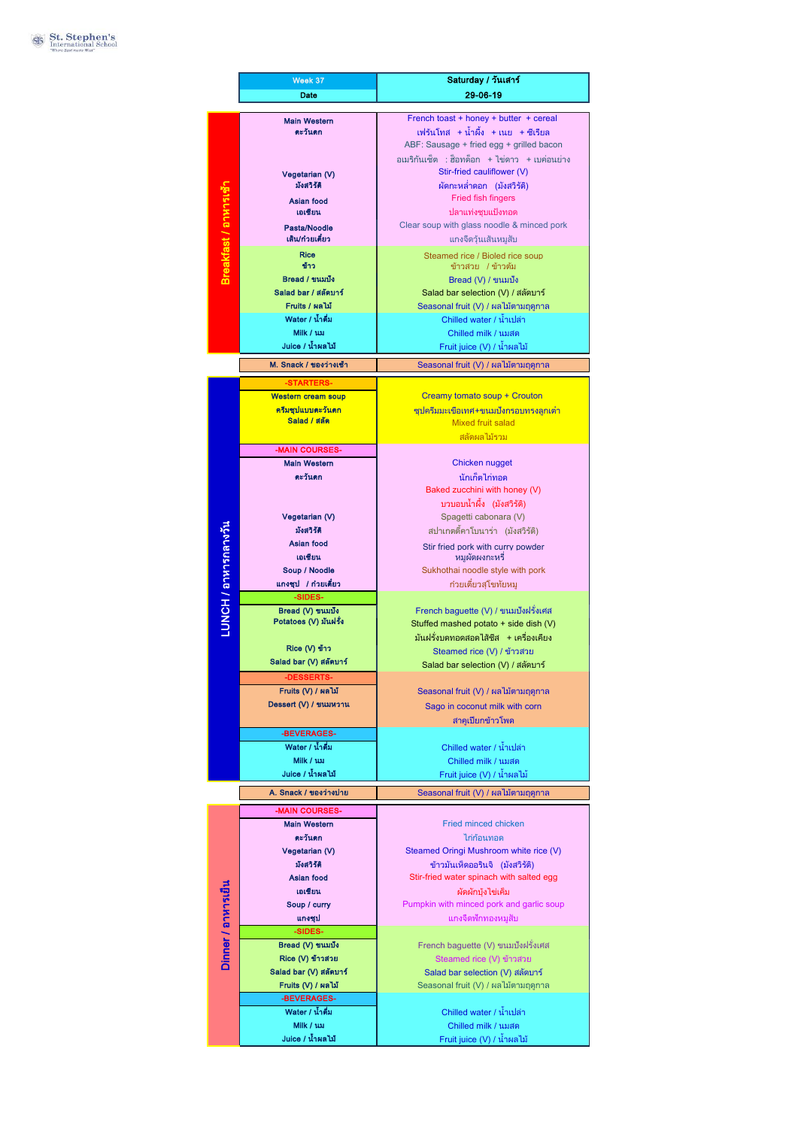|                       | Week 37                                | Saturday / วันเสาร์                                                         |
|-----------------------|----------------------------------------|-----------------------------------------------------------------------------|
|                       | Date                                   | 29-06-19                                                                    |
|                       |                                        |                                                                             |
|                       | <b>Main Western</b><br>ตะวันตก         | French toast + honey + butter + cereal<br>เฟร้นโทส +น้ำผึ้ง +เนย +ชีเรียล   |
|                       |                                        | ABF: Sausage + fried egg + grilled bacon                                    |
|                       |                                        | อเมริกันเซ็ต : ฮ็อทด็อก + ไข่ดาว + เบค่อนย่าง                               |
|                       |                                        | Stir-fried cauliflower (V)                                                  |
|                       | Vegetarian (V)<br>มังสวิรัติ           | ผัดกะหล่ำดอก (มังสวิรัติ)                                                   |
|                       | Asian food                             | Fried fish fingers                                                          |
|                       | เอเชียน                                | ปลาแท่งชบแป้งทอด                                                            |
|                       | Pasta/Noodle                           | Clear soup with glass noodle & minced pork                                  |
| Breakfast / อาหารเช้า | เส้น/ก๋วยเตี๋ยว                        | แกงจืดวุ้นเส้นหมูสับ                                                        |
|                       | <b>Rice</b>                            | Steamed rice / Bioled rice soup                                             |
|                       | ข้าว                                   | ข้าวสวย /ข้าวต้ม                                                            |
|                       | Bread / ขนมปัง                         | Bread (V) / ขนมปัง                                                          |
|                       | Salad bar / สลัดบาร์<br>Fruits / ผลไม้ | Salad bar selection (V) / สลัดบาร์                                          |
|                       | Water / น้ำดื่ม                        | Seasonal fruit (V) / ผลไม้ตามฤดูกาล<br>Chilled water / น้ำเปล่า             |
|                       | Milk / uxi                             | Chilled milk / นมสด                                                         |
|                       | Juice / น้ำผลไม้                       | Fruit juice (V) / น้ำผลไม้                                                  |
|                       |                                        |                                                                             |
|                       | M. Snack / ของว่างเช้า                 | Seasonal fruit (V) / ผลไม้ตามฤดูกาล                                         |
|                       |                                        |                                                                             |
|                       | <b>Western cream soup</b>              | Creamy tomato soup + Crouton                                                |
|                       | ครีมซุปแบบตะวันตก<br>Salad / สลัด      | ีซูปครีมมะเขือเทศ+ขนมปังกรอบทรงลูกเต๋า                                      |
|                       |                                        | <b>Mixed fruit salad</b><br>สลัดผลไม้รวม                                    |
|                       | -MAIN COURSES-                         |                                                                             |
|                       | <b>Main Western</b>                    | Chicken nugget                                                              |
|                       | ตะวันตก                                | นักเก็ตไก่ทอด                                                               |
|                       |                                        | Baked zucchini with honey (V)                                               |
|                       |                                        | บวบอบน้ำผึ้ง (มังสวิรัติ)                                                   |
|                       | Vegetarian (V)                         | Spagetti cabonara (V)                                                       |
|                       | มังสวิรัติ                             | สปาเกตตี้คาโบนาร่า (มังสวิรัติ)                                             |
|                       | Asian food                             | Stir fried pork with curry powder                                           |
|                       | เอเชียน                                | หมผัดผงกะหรี                                                                |
|                       | Soup / Noodle                          | Sukhothai noodle style with pork                                            |
|                       | แกงชุป / ก๋วยเตี๋ยว<br>-SIDES-         | ก๋วยเตี๋ยวสุโขทัยหมู                                                        |
| LUNCH / อาหารกลางวัน  | Bread (V) ขนมปัง                       | French baguette (V) / ขนมปังฝรั่งเศส                                        |
|                       | Potatoes (V) มันฝรั่ง                  | Stuffed mashed potato + side dish (V)                                       |
|                       |                                        | มันฝรั่งบดทอดสอดไส้ชีส + เครื่องเคียง                                       |
|                       | Rice (V) ข้าว                          | Steamed rice (V) / ข้าวสวย                                                  |
|                       | Salad bar (V) สลัดบาร์                 | Salad bar selection (V) / สลัดบาร์                                          |
|                       | -DESSERTS-                             |                                                                             |
|                       | Fruits (V) / ผลไม้                     | Seasonal fruit (V) / ผลไม้ตามฤดูกาล                                         |
|                       | Dessert (V) / ขนมหวาน                  | Sago in coconut milk with corn                                              |
|                       |                                        | สาคเปียกข้าวโพด                                                             |
|                       | -BEVERAGES-<br>Water / น้ำดื่ม         | Chilled water / น้ำเปล่า                                                    |
|                       | Milk / นม                              | Chilled milk / นมสด                                                         |
|                       | Juice / น้ำผลไม้                       | Fruit juice (V) / น้ำผลไม้                                                  |
|                       | A. Snack / ของว่างบ่าย                 |                                                                             |
|                       |                                        | Seasonal fruit (V) / ผลไม้ตามฤดูกาล                                         |
|                       | -MAIN COURSES-                         |                                                                             |
| Dinner / อาหารเย็น    | <b>Main Western</b>                    | Fried minced chicken                                                        |
|                       | ตะวันตก                                | ไก่ก้อนทอด                                                                  |
|                       | Vegetarian (V)<br>มังสวิรัติ           | Steamed Oringi Mushroom white rice (V)                                      |
|                       | Asian food                             | ข้าวมันเห็ดออรินจิ (มังสวิรัติ)<br>Stir-fried water spinach with salted egg |
|                       | เอเชียน                                | ผัดผักบังไข่เค็ม                                                            |
|                       | Soup / curry                           | Pumpkin with minced pork and garlic soup                                    |
|                       | แกงชุป                                 | แกงจืดฟักทองหมูสับ                                                          |
|                       | -SIDES-                                |                                                                             |
|                       | Bread (V) ขนมปัง                       | French baguette (V) ขนมปังฝรั่งเศส                                          |
|                       | Rice (V) ข้าวสวย                       | Steamed rice (V) ข้าวสวย                                                    |
|                       | Salad bar (V) สลัดบาร์                 | Salad bar selection (V) สลัดบาร์                                            |
|                       | Fruits (V) / ผลไม้                     | Seasonal fruit (V) / ผลไม้ตามฤดูกาล                                         |
|                       | -BEVERAGES-                            |                                                                             |
|                       | Water / น้ำดื่ม<br>Milk / นม           | Chilled water / น้ำเปล่า                                                    |
|                       | Juice / น้ำผลไม้                       | Chilled milk / นมสด<br>Fruit juice (V) / น้ำผลไม้                           |
|                       |                                        |                                                                             |